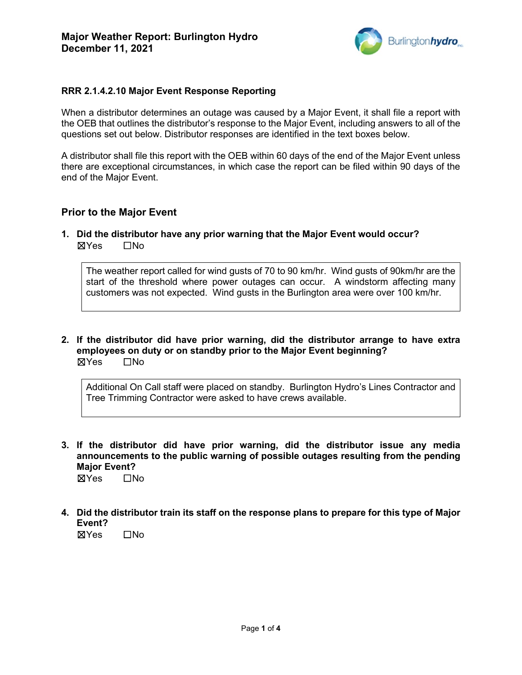

## **RRR 2.1.4.2.10 Major Event Response Reporting**

When a distributor determines an outage was caused by a Major Event, it shall file a report with the OEB that outlines the distributor's response to the Major Event, including answers to all of the questions set out below. Distributor responses are identified in the text boxes below.

A distributor shall file this report with the OEB within 60 days of the end of the Major Event unless there are exceptional circumstances, in which case the report can be filed within 90 days of the end of the Major Event.

### **Prior to the Major Event**

**1. Did the distributor have any prior warning that the Major Event would occur?**  ☒Yes ☐No

The weather report called for wind gusts of 70 to 90 km/hr. Wind gusts of 90km/hr are the start of the threshold where power outages can occur. A windstorm affecting many customers was not expected. Wind gusts in the Burlington area were over 100 km/hr.

**2. If the distributor did have prior warning, did the distributor arrange to have extra employees on duty or on standby prior to the Major Event beginning?**  ☒Yes ☐No

Additional On Call staff were placed on standby. Burlington Hydro's Lines Contractor and Tree Trimming Contractor were asked to have crews available.

- **3. If the distributor did have prior warning, did the distributor issue any media announcements to the public warning of possible outages resulting from the pending Major Event?**  ☒Yes ☐No
	-
- **4. Did the distributor train its staff on the response plans to prepare for this type of Major Event?**

☒Yes ☐No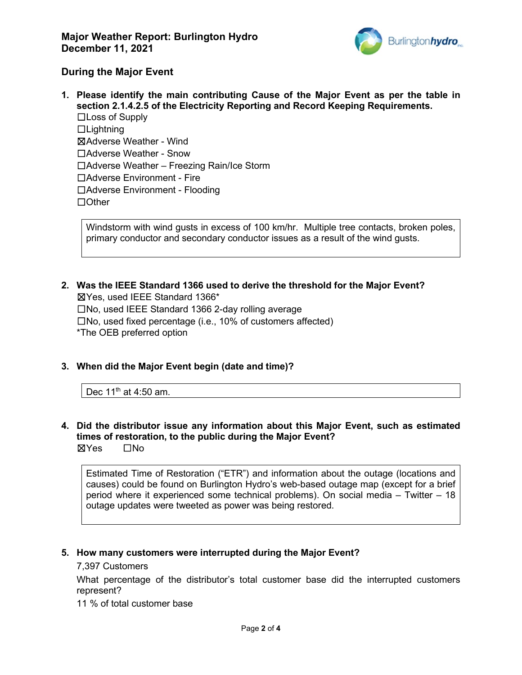

## **During the Major Event**

**1. Please identify the main contributing Cause of the Major Event as per the table in section 2.1.4.2.5 of the Electricity Reporting and Record Keeping Requirements.** ☐Loss of Supply ☐Lightning ☒Adverse Weather - Wind ☐Adverse Weather - Snow ☐Adverse Weather – Freezing Rain/Ice Storm ☐Adverse Environment - Fire ☐Adverse Environment - Flooding ☐Other

Windstorm with wind gusts in excess of 100 km/hr. Multiple tree contacts, broken poles, primary conductor and secondary conductor issues as a result of the wind gusts.

- **2. Was the IEEE Standard 1366 used to derive the threshold for the Major Event?** ☒Yes, used IEEE Standard 1366\* ☐No, used IEEE Standard 1366 2-day rolling average ☐No, used fixed percentage (i.e., 10% of customers affected) \*The OEB preferred option
- **3. When did the Major Event begin (date and time)?**

Dec  $11<sup>th</sup>$  at 4:50 am.

**4. Did the distributor issue any information about this Major Event, such as estimated times of restoration, to the public during the Major Event?** ☒Yes ☐No

Estimated Time of Restoration ("ETR") and information about the outage (locations and causes) could be found on Burlington Hydro's web-based outage map (except for a brief period where it experienced some technical problems). On social media – Twitter – 18 outage updates were tweeted as power was being restored.

#### **5. How many customers were interrupted during the Major Event?**

#### 7,397 Customers

What percentage of the distributor's total customer base did the interrupted customers represent?

11 % of total customer base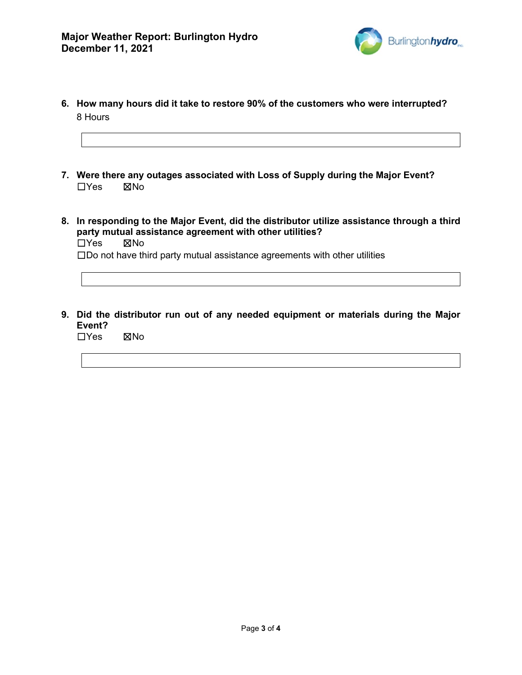

- **6. How many hours did it take to restore 90% of the customers who were interrupted?** 8 Hours
- **7. Were there any outages associated with Loss of Supply during the Major Event?** ☐Yes ☒No
- **8. In responding to the Major Event, did the distributor utilize assistance through a third party mutual assistance agreement with other utilities?** ☐Yes ☒No
	- ☐Do not have third party mutual assistance agreements with other utilities
- **9. Did the distributor run out of any needed equipment or materials during the Major Event?**

☐Yes ☒No